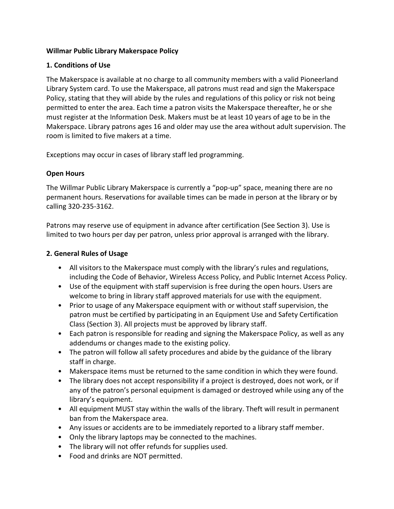## **Willmar Public Library Makerspace Policy**

## **1. Conditions of Use**

The Makerspace is available at no charge to all community members with a valid Pioneerland Library System card. To use the Makerspace, all patrons must read and sign the Makerspace Policy, stating that they will abide by the rules and regulations of this policy or risk not being permitted to enter the area. Each time a patron visits the Makerspace thereafter, he or she must register at the Information Desk. Makers must be at least 10 years of age to be in the Makerspace. Library patrons ages 16 and older may use the area without adult supervision. The room is limited to five makers at a time.

Exceptions may occur in cases of library staff led programming.

## **Open Hours**

The Willmar Public Library Makerspace is currently a "pop-up" space, meaning there are no permanent hours. Reservations for available times can be made in person at the library or by calling 320-235-3162.

Patrons may reserve use of equipment in advance after certification (See Section 3). Use is limited to two hours per day per patron, unless prior approval is arranged with the library.

## **2. General Rules of Usage**

- All visitors to the Makerspace must comply with the library's rules and regulations, including the Code of Behavior, Wireless Access Policy, and Public Internet Access Policy.
- Use of the equipment with staff supervision is free during the open hours. Users are welcome to bring in library staff approved materials for use with the equipment.
- Prior to usage of any Makerspace equipment with or without staff supervision, the patron must be certified by participating in an Equipment Use and Safety Certification Class (Section 3). All projects must be approved by library staff.
- Each patron is responsible for reading and signing the Makerspace Policy, as well as any addendums or changes made to the existing policy.
- The patron will follow all safety procedures and abide by the guidance of the library staff in charge.
- Makerspace items must be returned to the same condition in which they were found.
- The library does not accept responsibility if a project is destroyed, does not work, or if any of the patron's personal equipment is damaged or destroyed while using any of the library's equipment.
- All equipment MUST stay within the walls of the library. Theft will result in permanent ban from the Makerspace area.
- Any issues or accidents are to be immediately reported to a library staff member.
- Only the library laptops may be connected to the machines.
- The library will not offer refunds for supplies used.
- Food and drinks are NOT permitted.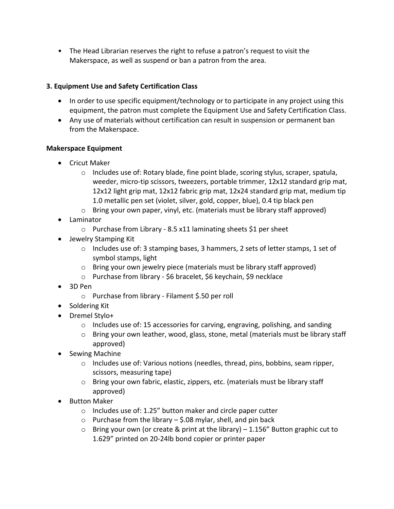• The Head Librarian reserves the right to refuse a patron's request to visit the Makerspace, as well as suspend or ban a patron from the area.

# **3. Equipment Use and Safety Certification Class**

- In order to use specific equipment/technology or to participate in any project using this equipment, the patron must complete the Equipment Use and Safety Certification Class.
- Any use of materials without certification can result in suspension or permanent ban from the Makerspace.

## **Makerspace Equipment**

- Cricut Maker
	- $\circ$  Includes use of: Rotary blade, fine point blade, scoring stylus, scraper, spatula, weeder, micro-tip scissors, tweezers, portable trimmer, 12x12 standard grip mat, 12x12 light grip mat, 12x12 fabric grip mat, 12x24 standard grip mat, medium tip 1.0 metallic pen set (violet, silver, gold, copper, blue), 0.4 tip black pen
	- o Bring your own paper, vinyl, etc. (materials must be library staff approved)
- Laminator
	- o Purchase from Library 8.5 x11 laminating sheets \$1 per sheet
- Jewelry Stamping Kit
	- o Includes use of: 3 stamping bases, 3 hammers, 2 sets of letter stamps, 1 set of symbol stamps, light
	- o Bring your own jewelry piece (materials must be library staff approved)
	- o Purchase from library \$6 bracelet, \$6 keychain, \$9 necklace
- 3D Pen
	- o Purchase from library Filament \$.50 per roll
- Soldering Kit
- Dremel Stylo+
	- $\circ$  Includes use of: 15 accessories for carving, engraving, polishing, and sanding
	- $\circ$  Bring your own leather, wood, glass, stone, metal (materials must be library staff approved)
- Sewing Machine
	- $\circ$  Includes use of: Various notions (needles, thread, pins, bobbins, seam ripper, scissors, measuring tape)
	- o Bring your own fabric, elastic, zippers, etc. (materials must be library staff approved)
- Button Maker
	- o Includes use of: 1.25" button maker and circle paper cutter
	- $\circ$  Purchase from the library \$.08 mylar, shell, and pin back
	- $\circ$  Bring your own (or create & print at the library) 1.156" Button graphic cut to 1.629" printed on 20-24lb bond copier or printer paper